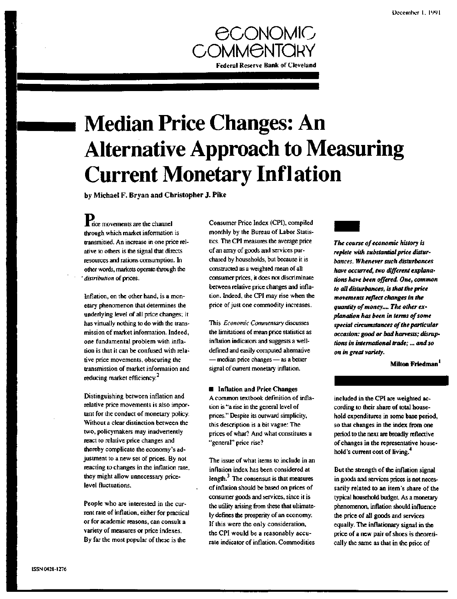

# **Median Price Changes: An Alternative Approach to Measuring Current Monetary Inflation**

**by Michael F. Bryan and Christopher J. Pike**

**Xrice** movements are the channel through which market information is transmitted. An increase in one price relative to others is the signal that directs resources and rations consumption. In other words, markets operate through the ' *distribution* of prices.

Inflation, on the other hand, is a monetary phenomenon that determines the underlying level of all price changes; it has virtually nothing to do with the transmission of market information. Indeed, one fundamental problem with inflation is that it can be confused with relative price movements, obscuring the transmission of market information and reducing market efficiency.<sup>2</sup>

Distinguishing between inflation and relative price movements is also important for the conduct of monetary policy. Without a clear distinction between the two, policymakers may inadvertently react to relative price changes and thereby complicate the economy's adjustment to a new set of prices. By not reacting to changes in the inflation rate, they might allow unnecessary pricelevel fluctuations.

People who are interested in the current rate of inflation, either for practical or for academic reasons, can consult a variety of measures or price indexes. By far the most popular of these is the

Consumer Price Index (CPI), compiled monthly by the Bureau of Labor Statistics. The CPI measures the average price of an array of goods and services purchased by households, but because it is constructed as a weighted mean of all consumer prices, it does not discriminate between relative price changes and inflation. Indeed, the CPI may rise when the price of just one commodity increases.

This *Economic Commentary* discusses the limitations of mean price statistics as inflation indicators and suggests a welldefined and easily computed alternative — median price changes — as a better signal of current monetary inflation.

#### **E** Inflation and Price Changes

A common textbook definition of inflation is "a rise in the general level of prices." Despite its outward simplicity, this description is a bit vague: The prices of what? And what constitutes a "general" price rise?

The issue of what items to include in an inflation index has been considered at length. $3$  The consensus is that measures of inflation should be based on prices of consumer goods and services, since it is the utility arising from these that ultimately defines the prosperity of an economy. If this were the only consideration, the CPI would be a reasonably accurate indicator of inflation. Commodities



*The course of economic history is replete with substantial price disturbances. Whenever such disturbances have occurred, two different explanations have been offered. One, common to all disturbances, is that the price movements reflect changes in the quantity of money.... The other explanation has been in terms of some special circumstances of the particular occasion: good or bad harvests; disruptions in international trade;... and so on in great variety.*

**Milton Friedman**

included in the CPI are weighted according to their share of total household expenditures in some base period, so that changes in the index from one period to the next are broadly reflective of changes in the representative household's current cost of living.<sup>4</sup>

But the strength of the inflation signal in goods and services prices is not necessarily related to an item's share of the typical household budget. As a monetary phenomenon, inflation should influence the price of all goods and services equally. The inflationary signal in the price of a new pair of shoes is theoretically the same as that in the price of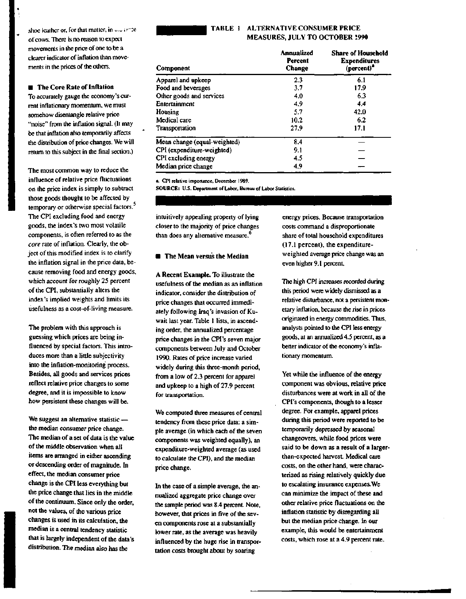shoe leather or, for that matter, in our *ir-* reof cows. Tliere is no reason to expect movements in the price of one to be a clearer indicator of inflation than movements in the prices of the others.

### **•** The **Core Rate of Inflation**

To accurately gauge the economy's current inflationary momentum, we must somehow disentangle relative price "noise" from the inflation signal. (It may be that inflation also temporarily affects the distribution of price changes. We will return to this subject in the final section.)

The most common way to reduce the influence of relative price fluctuations on the price index is simply to subtract those goods thought to be affected by temporary or otherwise special factors.<sup>5</sup> The CPI excluding food and energy goods, the index's two most volatile components, is often referred to as the *core* rate of inflation. Clearly, the object of this modified index is to clarify the inflation signal in the price data, because removing food and energy goods, which account for roughly 25 percent of the CPI, substantially alters the index's implied weights and limits its usefulness as a cost-of-living measure.

The problem with this approach is guessing which prices are being influenced by special factors. This introduces more than a little subjectivity into the inflation-monitoring process. Besides, all goods and services prices reflect relative price changes to some degree, and it is impossible to know how persistent these changes will be.

We suggest an alternative statistic the median consumer price change. The median of a set of data is the value of the middle observation when all items are arranged in either ascending or descending order of magnitude. In effect, the median consumer price change is the CPI less everything but the price change that lies in the middle of the continuum. Since only the order, not the values, of the various price changes is used in its calculation, the median is a central tendency statistic that is largely independent of the data's distribution. The median also has the



## TABLE 1 ALTERNATIVE CONSUMER PRICE MEASURES, **JULY TO OCTOBER** 1990

| Component                    | Annualized<br>Percent<br><b>Change</b> | <b>Share of Household</b><br><b>Expenditures</b><br>(percent) <sup>2</sup> |
|------------------------------|----------------------------------------|----------------------------------------------------------------------------|
| Apparel and upkeep           | 23                                     | 6.1                                                                        |
| Food and beverages           | 3.7                                    | 17.9                                                                       |
| Other goods and services     | 4.0                                    | 6.3                                                                        |
| Entertainment                | 4.9                                    | 4.4                                                                        |
| Housing                      | 5.7                                    | 42.0                                                                       |
| Medical care                 | 10.2                                   | 6.2                                                                        |
| Transportation               | 27.9                                   | 17.1                                                                       |
| Mean change (equal-weighted) | 8.4                                    |                                                                            |
| CPI (expenditure-weighted)   | 9.1                                    |                                                                            |
| CPI excluding energy         | 4.5                                    |                                                                            |
| Median price change          | 4.9                                    |                                                                            |

**a. CPI relative importance. December 1989.**

**SOURCE: U.S. Department of Labor, Bureau of Labor Statistics.**

intuitively appealing property of lying closer to the majority of price changes than does any alternative measure.<sup>6</sup>

## **• The Mean versus the Median**

**A Recent Example.** To illustrate the usefulness of the median as an inflation indicator, consider the distribution of price changes that occurred immediately following Iraq's invasion of Kuwait last year. Table 1 lists, in ascending order, the annualized percentage price changes in the CPI's seven major components between July and October 1990. Rates of price increase varied widely during this three-month period, from a low of 2.3 percent for apparel and upkeep to a high of 27.9 percent for transportation.

We computed three measures of central tendency from these price data: a simple average (in which each of the seven components was weighted equally), an expenditure-weighted average (as used to calculate the CPI), and the median price change.

In the case of a simple average, the annualized aggregate price change over the sample period was 8.4 percent. Note, however, that prices in five of the seven components rose at a substantially lower rate, as the average was heavily influenced by the huge rise in transportation costs brought about by soaring

energy prices. Because transportation costs command a disproportionate share of total household expenditures (17.1 percent), the expenditureweighted average price change was an even higher 9.1 percent.

The high CPI increases recorded during this period were widely dismissed as a relative disturbance, not a persistent monetary inflation, because the rise in prices originated in energy commodities. Thus, analysts pointed to the CPI less energy goods, at an annualized 4.5 percent, as a better indicator of the economy's inflationary momentum.

Yet while the influence of the energy component was obvious, relative price disturbances were at work in all of the CPI's components, though to a lesser degree. For example, apparel prices during this period were reported to be temporarily depressed by seasonal changeovers, while food prices were said to be down as a result of a largerthan-expected harvest. Medical care costs, on the other hand, were characterized as rising relatively quickly due to escalating insurance expenses.We can minimize the impact of these and other relative price fluctuations on the inflation statistic by disregarding all but the median price change. In our example, this would be entertainment costs, which rose at a 4.9 percent rate.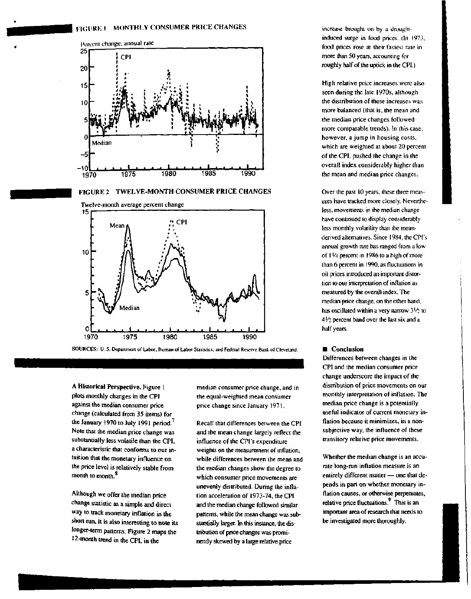





SOURCES: U. S. Department of Labor, Bureau of Labor Statistics: and Federal Reserve Bank of Cleveland.

A Historical Perspective. Figure 1 plots monthly changes in the CPI against the median consumer price change (calculated from 35 items) for the January 1970 to July 1991 period.<sup>7</sup> Note that the median price change was substantially less volatile than the CPI, a characteristic that conforms to our intuition that the monetary influence on the price level is relatively stable from month to month.<sup>8</sup>

Although we offer the median price change statistic as a simple and direct way to track monetary inflation in the short run, it is also interesting to note its longer-term patterns. Figure 2 maps the 12-month trend in the CPI, in the

median consumer price change, and in the equal-weighted mean consumer price change since January 1971.

Recall that differences between the CPI and the mean change largely reflect the influence of the CPI's expenditure weights on the measurement of inflation, while differences between the mean and the median changes show the degree to which consumer price movements are unevenly distributed. During the inflation acceleration of 1973-74, the CPI and the median change followed similar patterns, while the mean change was substantially larger. In this instance, the distribution of price changes was prominently skewed by a large relative price

increase brought on by a droughlinduced surge in food prices. (In 1973. food prices rose at their fastest rate in more than 50 years, accounting for roughly half of the uptick in the CPI.)

High relative price increases were also seen during the late 1970s, although the distribution of these increases was more balanced (that is, the mean and the median price changes followed more comparable trends). In this case, however, a jump in housing costs, which are weighted at about 20 percent of the CPI, pushed the change in the overall index considerably higher than the mean and median price changes.

Over the past 10 years, these three measures have tracked more closely. Nevertheless, movements in the median change have continued to display considerably less monthly volatility than the meanderived alternatives. Since 1984, the CPI's annual growth rate has ranged from a low of 11/4 percent in 1986 to a high of more than 6 percent in 1990, as fluctuations in oil prices introduced an important distortion to our interpretation of inflation as measured by the overall index. The median price change, on the other hand, has oscillated within a very narrow *3[A* to 4 *Vi* percent band over the last six and a half years.

#### **• Conclusion**

Differences between changes in the CPI and the median consumer price change underscore the impact of the distribution of price movements on our monthly interpretation of inflation. The median price change is a potentially useful indicator of current monetary inflation because it minimizes, in a nonsubjective way, the influence of these transitory relative price movements.

Whether the median change is an accurate long-run inflation measure is an entirely different matter— one that depends in part on whether monetary inflation causes, or otherwise perpetuates, relative price fluctuations.<sup>9</sup> This is an important area of research that needs to be investigated more thoroughly.